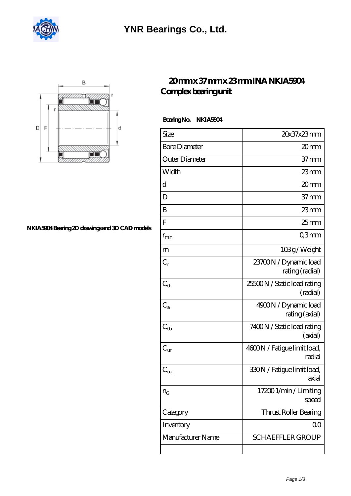

## **[YNR Bearings Co., Ltd.](https://m.alatheia-medical.com)**



#### **[NKIA5904 Bearing 2D drawings and 3D CAD models](https://m.alatheia-medical.com/pic-65086603.html)**

### **[20 mm x 37 mm x 23 mm INA NKIA5904](https://m.alatheia-medical.com/by-65086603-ina-nkia5904-complex-bearing-unit.html) [Complex bearing unit](https://m.alatheia-medical.com/by-65086603-ina-nkia5904-complex-bearing-unit.html)**

 **Bearing No. NKIA5904**

| Size                 | 20x37x23mm                               |
|----------------------|------------------------------------------|
| <b>Bore Diameter</b> | 20mm                                     |
| Outer Diameter       | $37 \text{mm}$                           |
| Width                | $23$ mm                                  |
| d                    | 20mm                                     |
| D                    | 37 <sub>mm</sub>                         |
| B                    | $23$ mm                                  |
| F                    | 25 <sub>mm</sub>                         |
| $r_{\rm min}$        | Q3mm                                     |
| m                    | 103g/Weight                              |
| $C_r$                | 23700N / Dynamic load<br>rating (radial) |
| $C_{\alpha}$         | 25500N / Static load rating<br>(radial)  |
| $C_{a}$              | 4900N / Dynamic load<br>rating (axial)   |
| $C_{\rm Oa}$         | 7400N / Static load rating<br>(axial)    |
| $C_{\text{ur}}$      | 4600N / Fatigue limit load,<br>radial    |
| $C_{ua}$             | 330N / Fatigue limit load,<br>axial      |
| $n_G$                | 17200 1/min / Limiting<br>speed          |
| Category             | Thrust Roller Bearing                    |
| Inventory            | QO                                       |
| Manufacturer Name    | <b>SCHAEFFLER GROUP</b>                  |
|                      |                                          |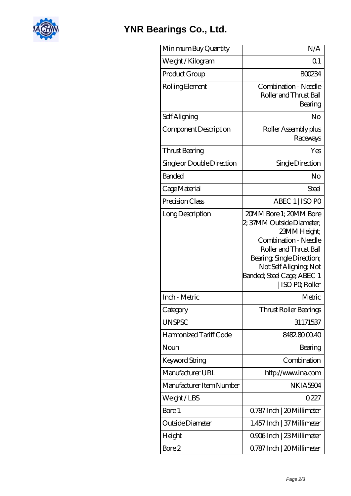

## **[YNR Bearings Co., Ltd.](https://m.alatheia-medical.com)**

| Minimum Buy Quantity       | N/A                                                                                                                                                                                                                           |
|----------------------------|-------------------------------------------------------------------------------------------------------------------------------------------------------------------------------------------------------------------------------|
| Weight / Kilogram          | Q <sub>1</sub>                                                                                                                                                                                                                |
| Product Group              | <b>BOO234</b>                                                                                                                                                                                                                 |
| Rolling Element            | Combination - Needle<br>Roller and Thrust Ball<br>Bearing                                                                                                                                                                     |
| Self Aligning              | No                                                                                                                                                                                                                            |
| Component Description      | Roller Assembly plus<br>Raceways                                                                                                                                                                                              |
| Thrust Bearing             | Yes                                                                                                                                                                                                                           |
| Single or Double Direction | Single Direction                                                                                                                                                                                                              |
| <b>Banded</b>              | No                                                                                                                                                                                                                            |
| Cage Material              | Steel                                                                                                                                                                                                                         |
| Precision Class            | ABEC 1   ISO PO                                                                                                                                                                                                               |
| Long Description           | 20MM Bore 1; 20MM Bore<br>2; 37MM Outside Diameter;<br>23MM Height;<br>Combination - Needle<br>Roller and Thrust Ball<br>Bearing, Single Direction;<br>Not Self Aligning, Not<br>Banded; Steel Cage; ABEC 1<br>ISO PO, Roller |
| Inch - Metric              | Metric                                                                                                                                                                                                                        |
| Category                   | Thrust Roller Bearings                                                                                                                                                                                                        |
| <b>UNSPSC</b>              | 31171537                                                                                                                                                                                                                      |
| Harmonized Tariff Code     | 8482.8000.40                                                                                                                                                                                                                  |
| Noun                       | Bearing                                                                                                                                                                                                                       |
| Keyword String             | Combination                                                                                                                                                                                                                   |
| Manufacturer URL           | http://www.ina.com                                                                                                                                                                                                            |
| Manufacturer Item Number   | NKIA5904                                                                                                                                                                                                                      |
| Weight/LBS                 | 0227                                                                                                                                                                                                                          |
| Bore 1                     | Q787 Inch   20 Millimeter                                                                                                                                                                                                     |
| Outside Diameter           | 1.457 Inch   37 Millimeter                                                                                                                                                                                                    |
| Height                     | Q906Inch   23 Millimeter                                                                                                                                                                                                      |
| Bore 2                     | Q787 Inch   20 Millimeter                                                                                                                                                                                                     |